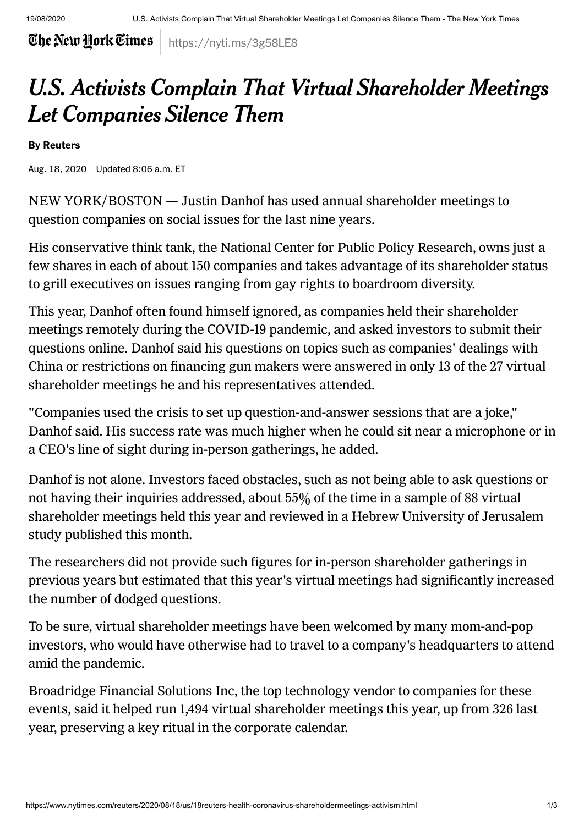The New York Times https://nyti.ms/3g58LE8

## U.S. Activists Complain That Virtual Shareholder Meetings Let Companies Silence Them

## By Reuters

Aug. 18, 2020 Updated 8:06 a.m. ET

NEW YORK/BOSTON — Justin Danhof has used annual shareholder meetings to question companies on social issues for the last nine years.

His conservative think tank, the National Center for Public Policy Research, owns just a few shares in each of about 150 companies and takes advantage of its shareholder status to grill executives on issues ranging from gay rights to boardroom diversity.

This year, Danhof often found himself ignored, as companies held their shareholder meetings remotely during the COVID-19 pandemic, and asked investors to submit their questions online. Danhof said his questions on topics such as companies' dealings with China or restrictions on financing gun makers were answered in only 13 of the 27 virtual shareholder meetings he and his representatives attended.

"Companies used the crisis to set up question-and-answer sessions that are a joke," Danhof said. His success rate was much higher when he could sit near a microphone or in a CEO's line of sight during in-person gatherings, he added.

Danhof is not alone. Investors faced obstacles, such as not being able to ask questions or not having their inquiries addressed, about 55% of the time in a sample of 88 virtual shareholder meetings held this year and reviewed in a Hebrew University of Jerusalem study published this month.

The researchers did not provide such figures for in-person shareholder gatherings in previous years but estimated that this year's virtual meetings had significantly increased the number of dodged questions.

To be sure, virtual shareholder meetings have been welcomed by many mom-and-pop investors, who would have otherwise had to travel to a company's headquarters to attend amid the pandemic.

Broadridge Financial Solutions Inc, the top technology vendor to companies for these events, said it helped run 1,494 virtual shareholder meetings this year, up from 326 last year, preserving a key ritual in the corporate calendar.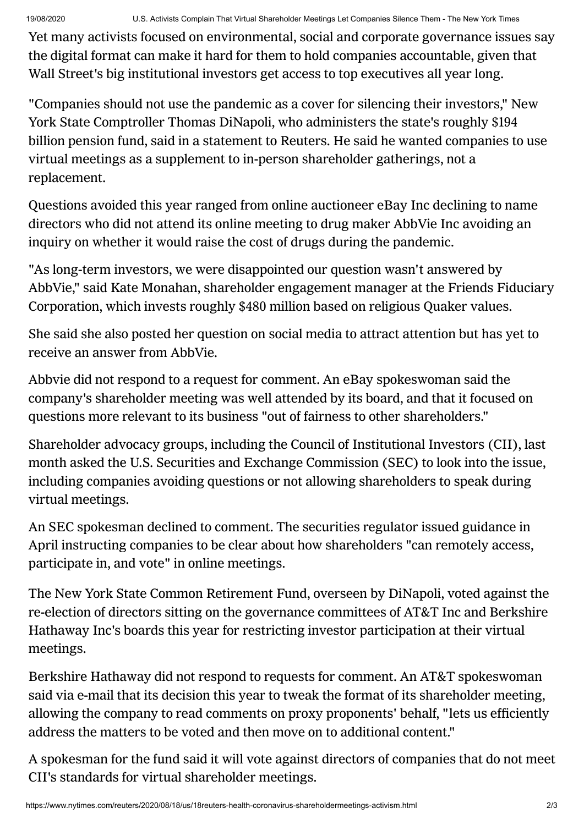Yet many activists focused on environmental, social and corporate governance issues say the digital format can make it hard for them to hold companies accountable, given that Wall Street's big institutional investors get access to top executives all year long.

"Companies should not use the pandemic as a cover for silencing their investors," New York State Comptroller Thomas DiNapoli, who administers the state's roughly \$194 billion pension fund, said in a statement to Reuters. He said he wanted companies to use virtual meetings as a supplement to in-person shareholder gatherings, not a replacement.

Questions avoided this year ranged from online auctioneer eBay Inc declining to name directors who did not attend its online meeting to drug maker AbbVie Inc avoiding an inquiry on whether it would raise the cost of drugs during the pandemic.

"As long-term investors, we were disappointed our question wasn't answered by AbbVie," said Kate Monahan, shareholder engagement manager at the Friends Fiduciary Corporation, which invests roughly \$480 million based on religious Quaker values.

She said she also posted her question on social media to attract attention but has yet to receive an answer from AbbVie.

Abbvie did not respond to a request for comment. An eBay spokeswoman said the company's shareholder meeting was well attended by its board, and that it focused on questions more relevant to its business "out of fairness to other shareholders."

Shareholder advocacy groups, including the Council of Institutional Investors (CII), last month asked the U.S. Securities and Exchange Commission (SEC) to look into the issue, including companies avoiding questions or not allowing shareholders to speak during virtual meetings.

An SEC spokesman declined to comment. The securities regulator issued guidance in April instructing companies to be clear about how shareholders "can remotely access, participate in, and vote" in online meetings.

The New York State Common Retirement Fund, overseen by DiNapoli, voted against the re-election of directors sitting on the governance committees of AT&T Inc and Berkshire Hathaway Inc's boards this year for restricting investor participation at their virtual meetings.

Berkshire Hathaway did not respond to requests for comment. An AT&T spokeswoman said via e-mail that its decision this year to tweak the format of its shareholder meeting, allowing the company to read comments on proxy proponents' behalf, "lets us efficiently address the matters to be voted and then move on to additional content."

A spokesman for the fund said it will vote against directors of companies that do not meet CII's standards for virtual shareholder meetings.